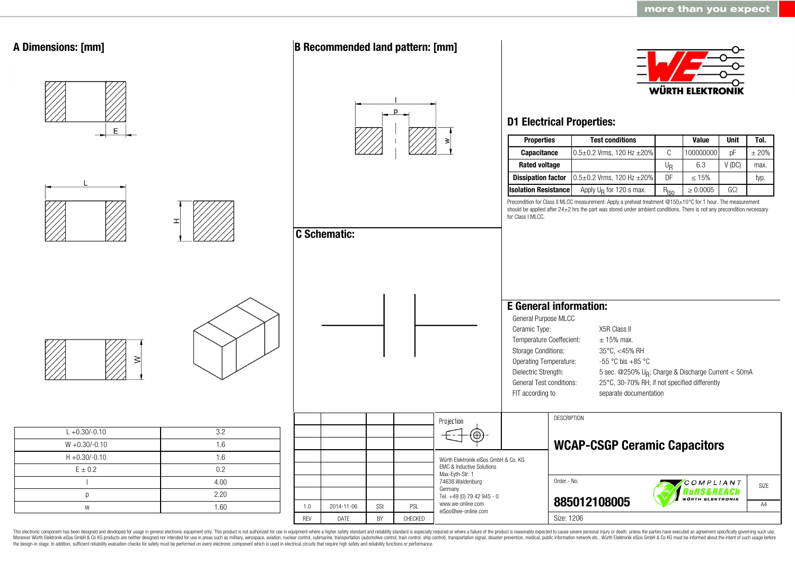

This electronic component has been designed and developed for usage in general electronic equipment only. This product is not authorized for use in equipment where a higher safety standard and reliability standard is espec Moreover Würth Elektronik eiSos GmbH & Co KG products are neither designed nor intended for use in areas such as military, aerospace, aviation, nuclear control, submarine, transportation (automotive control, ship control), the design-in stage. In addition, sufficient reliability evaluation checks for safety must be performed on every electronic component which is used in electrical circuits that require high safety and reliability functions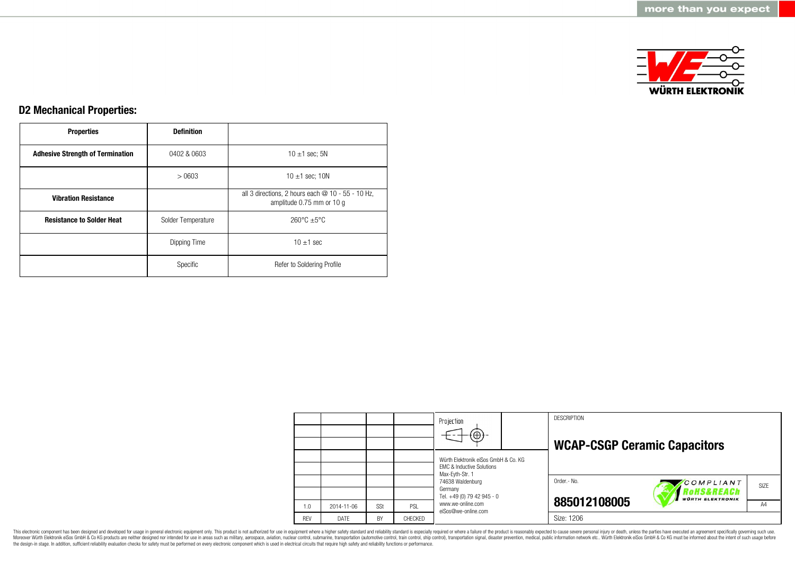

## **D2 Mechanical Properties:**

| <b>Properties</b>                       | <b>Definition</b>  |                                                                                  |
|-----------------------------------------|--------------------|----------------------------------------------------------------------------------|
| <b>Adhesive Strength of Termination</b> | 0402 & 0603        | 10 $\pm$ 1 sec; 5N                                                               |
|                                         | >0603              | 10 $\pm$ 1 sec; 10N                                                              |
| <b>Vibration Resistance</b>             |                    | all 3 directions, 2 hours each $@$ 10 - 55 - 10 Hz,<br>amplitude 0.75 mm or 10 g |
| <b>Resistance to Solder Heat</b>        | Solder Temperature | $260^{\circ}$ C $\pm 5^{\circ}$ C                                                |
|                                         | Dipping Time       | $10 \pm 1$ sec                                                                   |
|                                         | Specific           | Refer to Soldering Profile                                                       |

|            |            |     |         | Projection<br>$\bigoplus$                                                                       |  | <b>DESCRIPTION</b><br><b>WCAP-CSGP Ceramic Capacitors</b> |                         |      |
|------------|------------|-----|---------|-------------------------------------------------------------------------------------------------|--|-----------------------------------------------------------|-------------------------|------|
|            |            |     |         | Würth Elektronik eiSos GmbH & Co. KG<br><b>EMC &amp; Inductive Solutions</b><br>Max-Eyth-Str. 1 |  |                                                           |                         |      |
|            |            |     |         | 74638 Waldenburg<br>Germany<br>Tel. +49 (0) 79 42 945 - 0                                       |  | Order - No.                                               | COMPLIANT<br>RoHS&REACh | SIZE |
| 1.0        | 2014-11-06 | SSt | PSL     | www.we-online.com<br>eiSos@we-online.com                                                        |  | 885012108005                                              | <b>WÜRTH ELEKTRONIK</b> | A4   |
| <b>REV</b> | DATE       | BY  | CHECKED |                                                                                                 |  | Size: 1206                                                |                         |      |

This electronic component has been designed and developed for usage in general electronic equipment only. This product is not authorized for use in equipment where a higher safety standard and reliability standard and reli Moreover Würth Elektronik eiSos GmbH & Co KG products are neither designed nor intended for use in areas such as military, aerospace, aviation, nuclear control, submarine, transportation (automotive control), stain control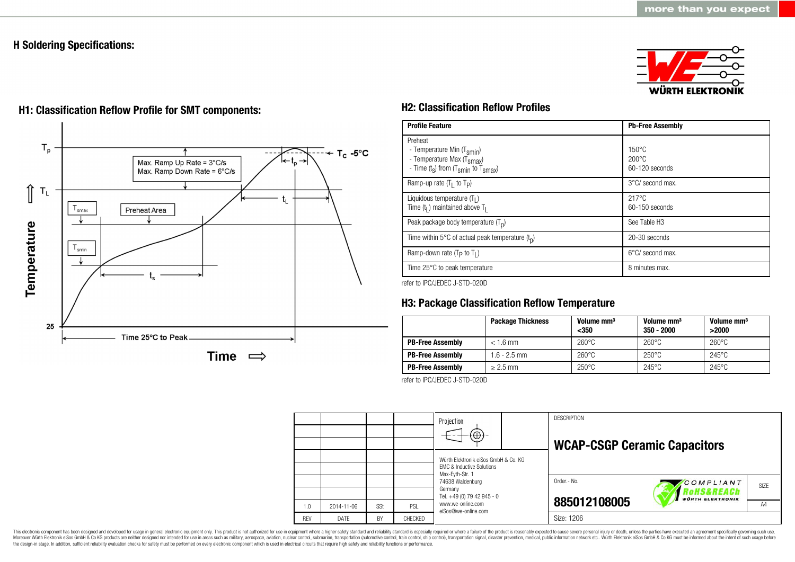### **H Soldering Specifications:**





# **H1: Classification Reflow Profile for SMT components: H2: Classification Reflow Profiles**

| <b>Profile Feature</b>                                                                                                                        | <b>Pb-Free Assembly</b>                                |
|-----------------------------------------------------------------------------------------------------------------------------------------------|--------------------------------------------------------|
| Preheat<br>- Temperature Min (T <sub>smin</sub> )<br>- Temperature Max (T <sub>Smax</sub> )<br>- Time $(t_s)$ from $(T_{smin}$ to $T_{smax})$ | $150^{\circ}$ C<br>$200^{\circ}$ C<br>$60-120$ seconds |
| Ramp-up rate $(T_1$ to $T_p$ )                                                                                                                | $3^{\circ}$ C/ second max.                             |
| Liquidous temperature $(T1)$<br>Time $(tl)$ maintained above T <sub>1</sub>                                                                   | $217^{\circ}$ C<br>$60-150$ seconds                    |
| Peak package body temperature $(T_n)$                                                                                                         | See Table H <sub>3</sub>                               |
| Time within 5 $\degree$ C of actual peak temperature $(t_0)$                                                                                  | 20-30 seconds                                          |
| Ramp-down rate ( $T_P$ to $T_I$ )                                                                                                             | $6^{\circ}$ C/ second max.                             |
| Time 25°C to peak temperature                                                                                                                 | 8 minutes max.                                         |

refer to IPC/JEDEC J-STD-020D

# **H3: Package Classification Reflow Temperature**

|                         | <b>Package Thickness</b> | Volume mm <sup>3</sup><br>$350$ | Volume mm <sup>3</sup><br>$350 - 2000$ | Volume mm <sup>3</sup><br>>2000 |
|-------------------------|--------------------------|---------------------------------|----------------------------------------|---------------------------------|
| <b>PB-Free Assembly</b> | $< 1.6$ mm               | $260^{\circ}$ C                 | $260^{\circ}$ C                        | $260^{\circ}$ C                 |
| <b>PB-Free Assembly</b> | $1.6 - 2.5$ mm           | $260^{\circ}$ C                 | $250^{\circ}$ C                        | $245^{\circ}$ C                 |
| <b>PB-Free Assembly</b> | $\geq$ 2.5 mm            | $250^{\circ}$ C                 | $245^{\circ}$ C                        | $245^{\circ}$ C                 |

refer to IPC/JEDEC J-STD-020D



This electronic component has been designed and developed for usage in general electronic equipment only. This product is not authorized for use in equipment where a higher safety standard and reliability standard is espec Moreover Würth Elektronik eiSos GmbH & Co KG products are neither designed nor intended for use in areas such as military, aerospace, aviation, nuclear control, submarine, transportation (automotive control, ship control), the design-in stage. In addition, sufficient reliability evaluation checks for safety must be performed on every electronic component which is used in electrical circuits that require high safety and reliability functions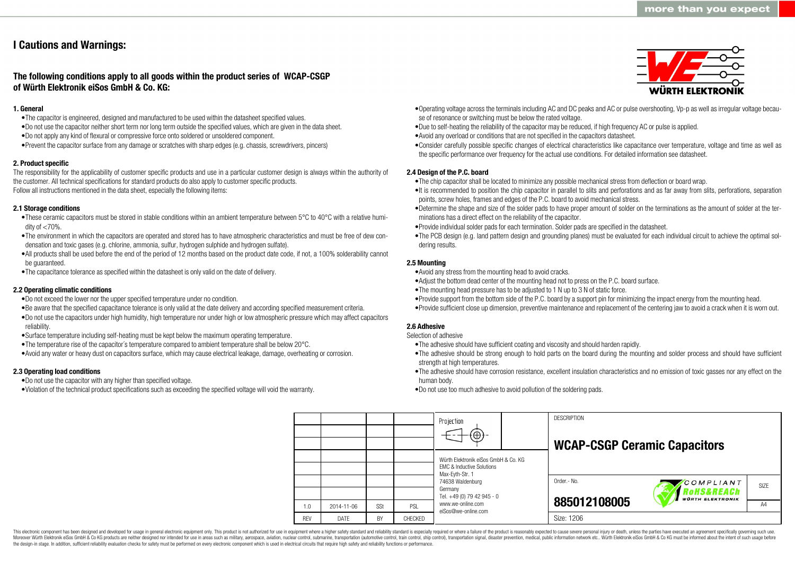# **I Cautions and Warnings:**

### **The following conditions apply to all goods within the product series of WCAP-CSGP of Würth Elektronik eiSos GmbH & Co. KG:**

#### **1. General**

- •The capacitor is engineered, designed and manufactured to be used within the datasheet specified values.
- •Do not use the capacitor neither short term nor long term outside the specified values, which are given in the data sheet.
- •Do not apply any kind of flexural or compressive force onto soldered or unsoldered component.
- •Prevent the capacitor surface from any damage or scratches with sharp edges (e.g. chassis, screwdrivers, pincers)

#### **2. Product specific**

The responsibility for the applicability of customer specific products and use in a particular customer design is always within the authority of the customer. All technical specifications for standard products do also apply to customer specific products. Follow all instructions mentioned in the data sheet, especially the following items:

#### **2.1 Storage conditions**

- •These ceramic capacitors must be stored in stable conditions within an ambient temperature between 5°C to 40°C with a relative humidity of  $<$ 70%.
- •The environment in which the capacitors are operated and stored has to have atmospheric characteristics and must be free of dew condensation and toxic gases (e.g. chlorine, ammonia, sulfur, hydrogen sulphide and hydrogen sulfate).
- •All products shall be used before the end of the period of 12 months based on the product date code, if not, a 100% solderability cannot be guaranteed.
- •The capacitance tolerance as specified within the datasheet is only valid on the date of delivery.

#### **2.2 Operating climatic conditions**

- •Do not exceed the lower nor the upper specified temperature under no condition.
- •Be aware that the specified capacitance tolerance is only valid at the date delivery and according specified measurement criteria.
- •Do not use the capacitors under high humidity, high temperature nor under high or low atmospheric pressure which may affect capacitors reliability.
- •Surface temperature including self-heating must be kept below the maximum operating temperature.
- •The temperature rise of the capacitor´s temperature compared to ambient temperature shall be below 20°C.
- •Avoid any water or heavy dust on capacitors surface, which may cause electrical leakage, damage, overheating or corrosion.

#### **2.3 Operating load conditions**

- •Do not use the capacitor with any higher than specified voltage.
- •Violation of the technical product specifications such as exceeding the specified voltage will void the warranty.
- •Operating voltage across the terminals including AC and DC peaks and AC or pulse overshooting, Vp-p as well as irregular voltage because of resonance or switching must be below the rated voltage.
- •Due to self-heating the reliability of the capacitor may be reduced, if high frequency AC or pulse is applied.
- •Avoid any overload or conditions that are not specified in the capacitors datasheet.
- •Consider carefully possible specific changes of electrical characteristics like capacitance over temperature, voltage and time as well as the specific performance over frequency for the actual use conditions. For detailed information see datasheet.

#### **2.4 Design of the P.C. board**

- •The chip capacitor shall be located to minimize any possible mechanical stress from deflection or board wrap.
- •It is recommended to position the chip capacitor in parallel to slits and perforations and as far away from slits, perforations, separation points, screw holes, frames and edges of the P.C. board to avoid mechanical stress.
- •Determine the shape and size of the solder pads to have proper amount of solder on the terminations as the amount of solder at the terminations has a direct effect on the reliability of the capacitor.
- •Provide individual solder pads for each termination. Solder pads are specified in the datasheet.
- •The PCB design (e.g. land pattern design and grounding planes) must be evaluated for each individual circuit to achieve the optimal soldering results.

#### **2.5 Mounting**

- •Avoid any stress from the mounting head to avoid cracks.
- •Adjust the bottom dead center of the mounting head not to press on the P.C. board surface.
- •The mounting head pressure has to be adjusted to 1 N up to 3 N of static force.
- •Provide support from the bottom side of the P.C. board by a support pin for minimizing the impact energy from the mounting head. •Provide sufficient close up dimension, preventive maintenance and replacement of the centering jaw to avoid a crack when it is worn out.

### **2.6 Adhesive**

- Selection of adhesive
- •The adhesive should have sufficient coating and viscosity and should harden rapidly.
- •The adhesive should be strong enough to hold parts on the board during the mounting and solder process and should have sufficient strength at high temperatures.
- •The adhesive should have corrosion resistance, excellent insulation characteristics and no emission of toxic gasses nor any effect on the human body.

•Do not use too much adhesive to avoid pollution of the soldering pads.

|            |            |     |                | Projection<br>$\Theta$ ) -                                                   | <b>DESCRIPTION</b><br><b>WCAP-CSGP Ceramic Capacitors</b> |
|------------|------------|-----|----------------|------------------------------------------------------------------------------|-----------------------------------------------------------|
|            |            |     |                | Würth Elektronik eiSos GmbH & Co. KG<br><b>EMC &amp; Inductive Solutions</b> |                                                           |
|            |            |     |                | Max-Evth-Str. 1<br>74638 Waldenburg<br>Germany                               | Order .- No.<br>COMPLIANT<br>SIZE<br>RoHS&REACh           |
| 1.0        | 2014-11-06 | SSt | PSL            | Tel. +49 (0) 79 42 945 - 0<br>www.we-online.com<br>eiSos@we-online.com       | <b>WÜRTH ELEKTRONIK</b><br>885012108005<br>A4             |
| <b>REV</b> | DATE       | BY  | <b>CHECKED</b> |                                                                              | Size: 1206                                                |

This electronic component has been designed and developed for usage in general electronic equipment only. This product is not authorized for use in equipment where a higher safety standard and reliability standard is espec Moreover Würth Elektronik eiSos GmbH & Co KG products are neither designed nor intended for use in areas such as military, aerospace, aviation, nuclear control, submarine, transportation (automotive control), tain control) the design-in stage. In addition, sufficient reliability evaluation checks for safety must be performed on every electronic component which is used in electrical circuits that require high safety and reliability functions

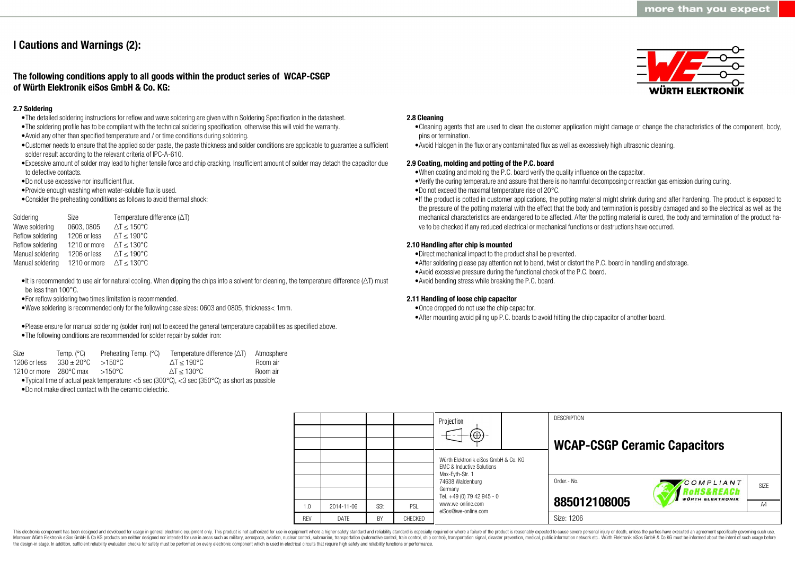# **I Cautions and Warnings (2):**

### **The following conditions apply to all goods within the product series of WCAP-CSGP of Würth Elektronik eiSos GmbH & Co. KG:**

#### **2.7 Soldering**

- •The detailed soldering instructions for reflow and wave soldering are given within Soldering Specification in the datasheet.
- •The soldering profile has to be compliant with the technical soldering specification, otherwise this will void the warranty.
- •Avoid any other than specified temperature and / or time conditions during soldering.
- •Customer needs to ensure that the applied solder paste, the paste thickness and solder conditions are applicable to guarantee a sufficient solder result according to the relevant criteria of IPC-A-610.
- •Excessive amount of solder may lead to higher tensile force and chip cracking. Insufficient amount of solder may detach the capacitor due to defective contacts.
- •Do not use excessive nor insufficient flux.
- •Provide enough washing when water-soluble flux is used.
- •Consider the preheating conditions as follows to avoid thermal shock:

| Soldering        | Size                                      | Temperature difference $(\Delta T)$ |
|------------------|-------------------------------------------|-------------------------------------|
| Wave soldering   | 0603, 0805                                | $\Delta T \le 150^{\circ}C$         |
| Reflow soldering | 1206 or less                              | $\Delta T \le 190^{\circ}C$         |
| Reflow soldering | 1210 or more                              | $\Delta T \leq 130^{\circ}C$        |
| Manual soldering | 1206 or less                              | $\Delta T \le 190^{\circ}$ C        |
| Manual soldering | 1210 or more $\Delta T \le 130^{\circ}$ C |                                     |
|                  |                                           |                                     |

- •It is recommended to use air for natural cooling. When dipping the chips into a solvent for cleaning, the temperature difference ( $\Delta T$ ) must be less than 100°C.
- •For reflow soldering two times limitation is recommended.
- •Wave soldering is recommended only for the following case sizes: 0603 and 0805, thickness< 1mm.
- •Please ensure for manual soldering (solder iron) not to exceed the general temperature capabilities as specified above.
- •The following conditions are recommended for solder repair by solder iron:

| Size                   | Temp. (°C)           | Preheating Temp. (°C) | Temperature difference $(\Delta T)$                                                                                         | Atmosphere |
|------------------------|----------------------|-----------------------|-----------------------------------------------------------------------------------------------------------------------------|------------|
| 1206 or less           | $330 + 20^{\circ}$ C | $>150^{\circ}$ C      | $\Delta T < 190^{\circ}$ C                                                                                                  | Room air   |
| 1210 or more 280°C max |                      | >150°C                | $\Delta T < 130^{\circ}$ C                                                                                                  | Room air   |
|                        |                      |                       | • Typical time of actual peak temperature: $<$ 5 sec (300 $^{\circ}$ C), $<$ 3 sec (350 $^{\circ}$ C); as short as possible |            |

•Do not make direct contact with the ceramic dielectric.

#### **2.8 Cleaning**

- •Cleaning agents that are used to clean the customer application might damage or change the characteristics of the component, body, pins or termination.
- •Avoid Halogen in the flux or any contaminated flux as well as excessively high ultrasonic cleaning.

#### **2.9 Coating, molding and potting of the P.C. board**

- •When coating and molding the P.C. board verify the quality influence on the capacitor.
- •Verify the curing temperature and assure that there is no harmful decomposing or reaction gas emission during curing.
- •Do not exceed the maximal temperature rise of 20°C.
- •If the product is potted in customer applications, the potting material might shrink during and after hardening. The product is exposed to the pressure of the potting material with the effect that the body and termination is possibly damaged and so the electrical as well as the mechanical characteristics are endangered to be affected. After the potting material is cured, the body and termination of the product have to be checked if any reduced electrical or mechanical functions or destructions have occurred.

#### **2.10 Handling after chip is mounted**

- •Direct mechanical impact to the product shall be prevented.
- •After soldering please pay attention not to bend, twist or distort the P.C. board in handling and storage.
- •Avoid excessive pressure during the functional check of the P.C. board.
- •Avoid bending stress while breaking the P.C. board.

#### **2.11 Handling of loose chip capacitor**

- •Once dropped do not use the chip capacitor.
- •After mounting avoid piling up P.C. boards to avoid hitting the chip capacitor of another board.

|            |                  |     |         | Projection<br>$(\oplus)$                                                     |  | <b>DESCRIPTION</b><br><b>WCAP-CSGP Ceramic Capacitors</b> |                          |                   |
|------------|------------------|-----|---------|------------------------------------------------------------------------------|--|-----------------------------------------------------------|--------------------------|-------------------|
|            |                  |     |         | Würth Elektronik eiSos GmbH & Co. KG<br><b>EMC &amp; Inductive Solutions</b> |  |                                                           |                          |                   |
|            |                  |     |         | Max-Eyth-Str. 1<br>74638 Waldenburg<br>Germany                               |  | Order.- No.                                               | COMPLIANT<br>to HS&REACh | SI <sub>7</sub> F |
| 1.0        | $2014 - 11 - 06$ | SSt | PSL     | Tel. +49 (0) 79 42 945 - 0<br>www.we-online.com                              |  | 885012108005                                              | <b>WÜRTH ELEKTRONIK</b>  | A4                |
| <b>REV</b> | DATE             | BY  | CHECKED | eiSos@we-online.com                                                          |  | Size: 1206                                                |                          |                   |

This electronic component has been designed and developed for usage in general electronic equipment only. This product is not authorized for use in equipment where a higher safety standard and reliability standard is espec Moreover Würth Elektronik eiSos GmbH & Co KG products are neither designed nor intended for use in areas such as military, aerospace, aviation, nuclear control, submarine, transportation (automotive control), tain control) the design-in stage. In addition, sufficient reliability evaluation checks for safety must be performed on every electronic component which is used in electrical circuits that require high safety and reliability functions